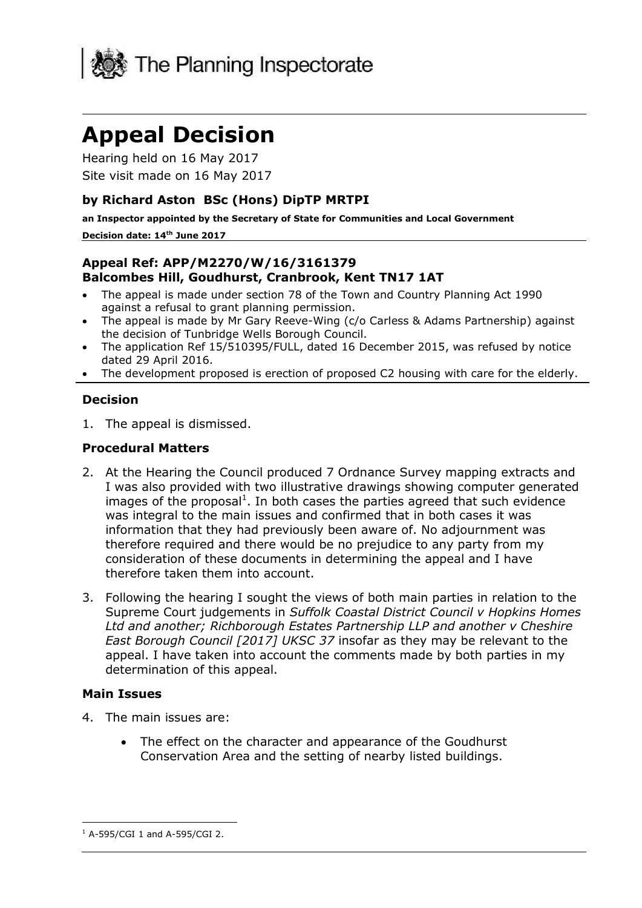

# **Appeal Decision**

Hearing held on 16 May 2017 Site visit made on 16 May 2017

### **by Richard Aston BSc (Hons) DipTP MRTPI**

**an Inspector appointed by the Secretary of State for Communities and Local Government**

#### **Decision date: 14th June 2017**

#### **Appeal Ref: APP/M2270/W/16/3161379 Balcombes Hill, Goudhurst, Cranbrook, Kent TN17 1AT**

- The appeal is made under section 78 of the Town and Country Planning Act 1990 against a refusal to grant planning permission.
- The appeal is made by Mr Gary Reeve-Wing (c/o Carless & Adams Partnership) against the decision of Tunbridge Wells Borough Council.
- The application Ref 15/510395/FULL, dated 16 December 2015, was refused by notice dated 29 April 2016.
- The development proposed is erection of proposed C2 housing with care for the elderly.

#### **Decision**

1. The appeal is dismissed.

#### **Procedural Matters**

- 2. At the Hearing the Council produced 7 Ordnance Survey mapping extracts and I was also provided with two illustrative drawings showing computer generated images of the proposal<sup>1</sup>. In both cases the parties agreed that such evidence was integral to the main issues and confirmed that in both cases it was information that they had previously been aware of. No adjournment was therefore required and there would be no prejudice to any party from my consideration of these documents in determining the appeal and I have therefore taken them into account.
- 3. Following the hearing I sought the views of both main parties in relation to the Supreme Court judgements in *Suffolk Coastal District Council v Hopkins Homes Ltd and another; Richborough Estates Partnership LLP and another v Cheshire East Borough Council [2017] UKSC 37* insofar as they may be relevant to the appeal. I have taken into account the comments made by both parties in my determination of this appeal.

#### **Main Issues**

- 4. The main issues are:
	- The effect on the character and appearance of the Goudhurst Conservation Area and the setting of nearby listed buildings.

j  $1$  A-595/CGI 1 and A-595/CGI 2.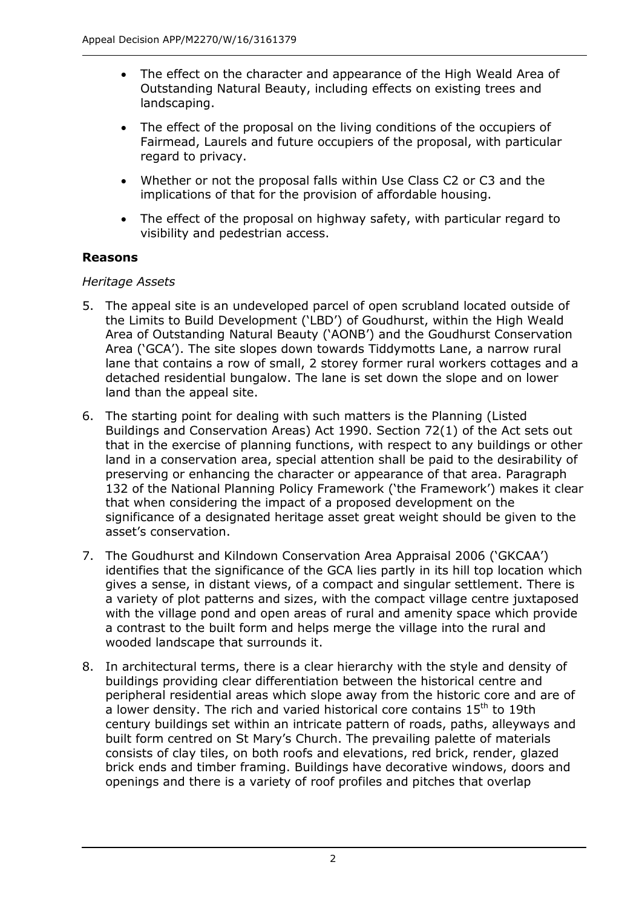- The effect on the character and appearance of the High Weald Area of Outstanding Natural Beauty, including effects on existing trees and landscaping.
- The effect of the proposal on the living conditions of the occupiers of Fairmead, Laurels and future occupiers of the proposal, with particular regard to privacy.
- Whether or not the proposal falls within Use Class C2 or C3 and the implications of that for the provision of affordable housing.
- The effect of the proposal on highway safety, with particular regard to visibility and pedestrian access.

## **Reasons**

## *Heritage Assets*

- 5. The appeal site is an undeveloped parcel of open scrubland located outside of the Limits to Build Development ('LBD') of Goudhurst, within the High Weald Area of Outstanding Natural Beauty ('AONB') and the Goudhurst Conservation Area ('GCA'). The site slopes down towards Tiddymotts Lane, a narrow rural lane that contains a row of small, 2 storey former rural workers cottages and a detached residential bungalow. The lane is set down the slope and on lower land than the appeal site.
- 6. The starting point for dealing with such matters is the Planning (Listed Buildings and Conservation Areas) Act 1990. Section 72(1) of the Act sets out that in the exercise of planning functions, with respect to any buildings or other land in a conservation area, special attention shall be paid to the desirability of preserving or enhancing the character or appearance of that area. Paragraph 132 of the National Planning Policy Framework ('the Framework') makes it clear that when considering the impact of a proposed development on the significance of a designated heritage asset great weight should be given to the asset's conservation.
- 7. The Goudhurst and Kilndown Conservation Area Appraisal 2006 ('GKCAA') identifies that the significance of the GCA lies partly in its hill top location which gives a sense, in distant views, of a compact and singular settlement. There is a variety of plot patterns and sizes, with the compact village centre juxtaposed with the village pond and open areas of rural and amenity space which provide a contrast to the built form and helps merge the village into the rural and wooded landscape that surrounds it.
- 8. In architectural terms, there is a clear hierarchy with the style and density of buildings providing clear differentiation between the historical centre and peripheral residential areas which slope away from the historic core and are of a lower density. The rich and varied historical core contains  $15<sup>th</sup>$  to 19th century buildings set within an intricate pattern of roads, paths, alleyways and built form centred on St Mary's Church. The prevailing palette of materials consists of clay tiles, on both roofs and elevations, red brick, render, glazed brick ends and timber framing. Buildings have decorative windows, doors and openings and there is a variety of roof profiles and pitches that overlap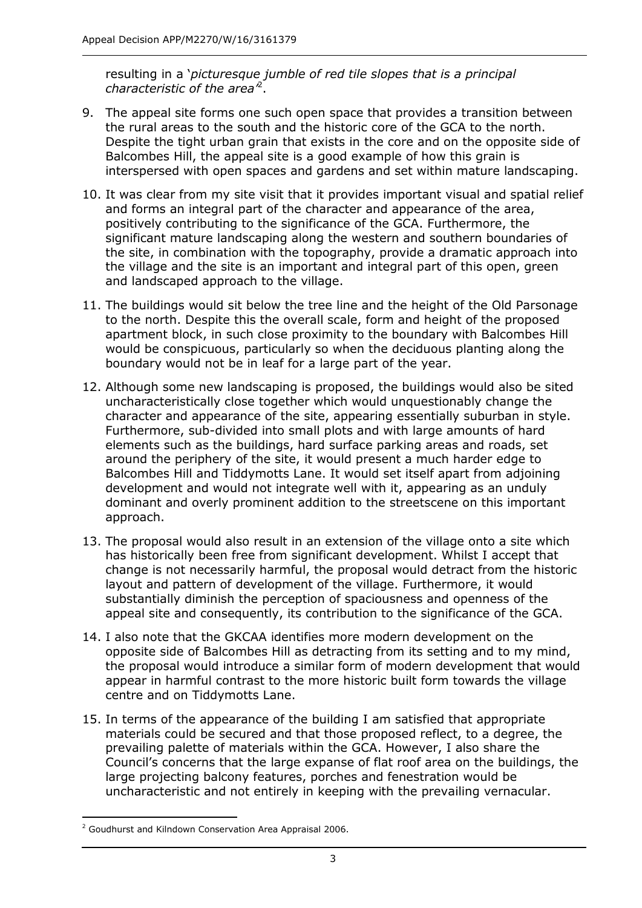resulting in a '*picturesque jumble of red tile slopes that is a principal characteristic of the area'*<sup>2</sup> .

- 9. The appeal site forms one such open space that provides a transition between the rural areas to the south and the historic core of the GCA to the north. Despite the tight urban grain that exists in the core and on the opposite side of Balcombes Hill, the appeal site is a good example of how this grain is interspersed with open spaces and gardens and set within mature landscaping.
- 10. It was clear from my site visit that it provides important visual and spatial relief and forms an integral part of the character and appearance of the area, positively contributing to the significance of the GCA. Furthermore, the significant mature landscaping along the western and southern boundaries of the site, in combination with the topography, provide a dramatic approach into the village and the site is an important and integral part of this open, green and landscaped approach to the village.
- 11. The buildings would sit below the tree line and the height of the Old Parsonage to the north. Despite this the overall scale, form and height of the proposed apartment block, in such close proximity to the boundary with Balcombes Hill would be conspicuous, particularly so when the deciduous planting along the boundary would not be in leaf for a large part of the year.
- 12. Although some new landscaping is proposed, the buildings would also be sited uncharacteristically close together which would unquestionably change the character and appearance of the site, appearing essentially suburban in style. Furthermore, sub-divided into small plots and with large amounts of hard elements such as the buildings, hard surface parking areas and roads, set around the periphery of the site, it would present a much harder edge to Balcombes Hill and Tiddymotts Lane. It would set itself apart from adjoining development and would not integrate well with it, appearing as an unduly dominant and overly prominent addition to the streetscene on this important approach.
- 13. The proposal would also result in an extension of the village onto a site which has historically been free from significant development. Whilst I accept that change is not necessarily harmful, the proposal would detract from the historic layout and pattern of development of the village. Furthermore, it would substantially diminish the perception of spaciousness and openness of the appeal site and consequently, its contribution to the significance of the GCA.
- 14. I also note that the GKCAA identifies more modern development on the opposite side of Balcombes Hill as detracting from its setting and to my mind, the proposal would introduce a similar form of modern development that would appear in harmful contrast to the more historic built form towards the village centre and on Tiddymotts Lane.
- 15. In terms of the appearance of the building I am satisfied that appropriate materials could be secured and that those proposed reflect, to a degree, the prevailing palette of materials within the GCA. However, I also share the Council's concerns that the large expanse of flat roof area on the buildings, the large projecting balcony features, porches and fenestration would be uncharacteristic and not entirely in keeping with the prevailing vernacular.

<sup>-</sup><sup>2</sup> Goudhurst and Kilndown Conservation Area Appraisal 2006.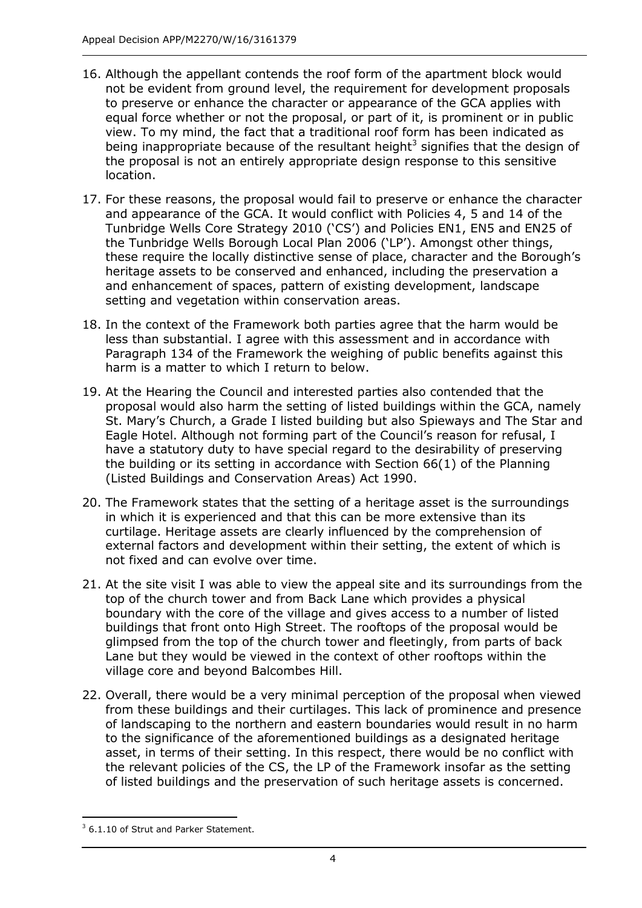- 16. Although the appellant contends the roof form of the apartment block would not be evident from ground level, the requirement for development proposals to preserve or enhance the character or appearance of the GCA applies with equal force whether or not the proposal, or part of it, is prominent or in public view. To my mind, the fact that a traditional roof form has been indicated as being inappropriate because of the resultant height<sup>3</sup> signifies that the design of the proposal is not an entirely appropriate design response to this sensitive location.
- 17. For these reasons, the proposal would fail to preserve or enhance the character and appearance of the GCA. It would conflict with Policies 4, 5 and 14 of the Tunbridge Wells Core Strategy 2010 ('CS') and Policies EN1, EN5 and EN25 of the Tunbridge Wells Borough Local Plan 2006 ('LP'). Amongst other things, these require the locally distinctive sense of place, character and the Borough's heritage assets to be conserved and enhanced, including the preservation a and enhancement of spaces, pattern of existing development, landscape setting and vegetation within conservation areas.
- 18. In the context of the Framework both parties agree that the harm would be less than substantial. I agree with this assessment and in accordance with Paragraph 134 of the Framework the weighing of public benefits against this harm is a matter to which I return to below.
- 19. At the Hearing the Council and interested parties also contended that the proposal would also harm the setting of listed buildings within the GCA, namely St. Mary's Church, a Grade I listed building but also Spieways and The Star and Eagle Hotel. Although not forming part of the Council's reason for refusal, I have a statutory duty to have special regard to the desirability of preserving the building or its setting in accordance with Section 66(1) of the Planning (Listed Buildings and Conservation Areas) Act 1990.
- 20. The Framework states that the setting of a heritage asset is the surroundings in which it is experienced and that this can be more extensive than its curtilage. Heritage assets are clearly influenced by the comprehension of external factors and development within their setting, the extent of which is not fixed and can evolve over time.
- 21. At the site visit I was able to view the appeal site and its surroundings from the top of the church tower and from Back Lane which provides a physical boundary with the core of the village and gives access to a number of listed buildings that front onto High Street. The rooftops of the proposal would be glimpsed from the top of the church tower and fleetingly, from parts of back Lane but they would be viewed in the context of other rooftops within the village core and beyond Balcombes Hill.
- 22. Overall, there would be a very minimal perception of the proposal when viewed from these buildings and their curtilages. This lack of prominence and presence of landscaping to the northern and eastern boundaries would result in no harm to the significance of the aforementioned buildings as a designated heritage asset, in terms of their setting. In this respect, there would be no conflict with the relevant policies of the CS, the LP of the Framework insofar as the setting of listed buildings and the preservation of such heritage assets is concerned.

-

<sup>&</sup>lt;sup>3</sup> 6.1.10 of Strut and Parker Statement.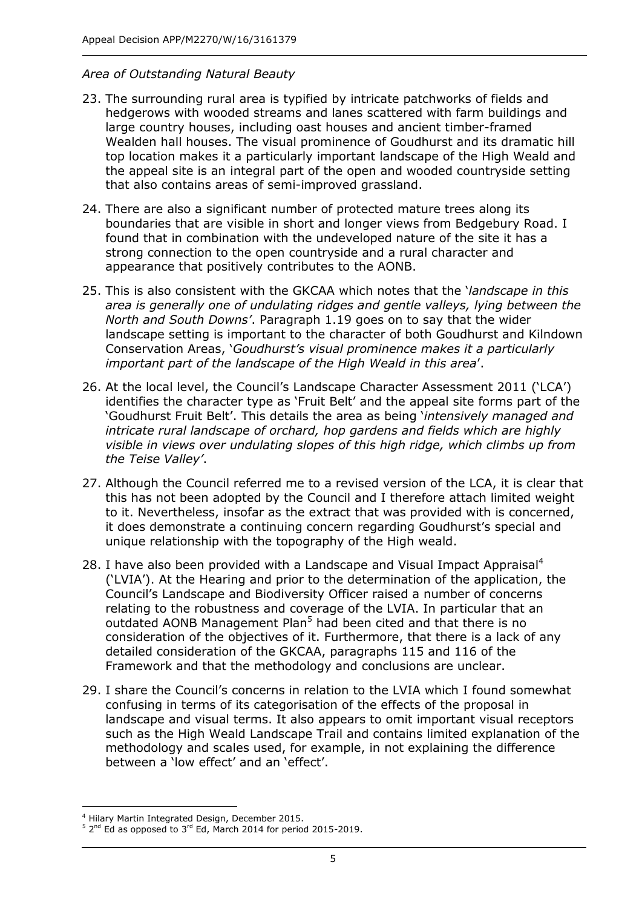#### *Area of Outstanding Natural Beauty*

- 23. The surrounding rural area is typified by intricate patchworks of fields and hedgerows with wooded streams and lanes scattered with farm buildings and large country houses, including oast houses and ancient timber-framed Wealden hall houses. The visual prominence of Goudhurst and its dramatic hill top location makes it a particularly important landscape of the High Weald and the appeal site is an integral part of the open and wooded countryside setting that also contains areas of semi-improved grassland.
- 24. There are also a significant number of protected mature trees along its boundaries that are visible in short and longer views from Bedgebury Road. I found that in combination with the undeveloped nature of the site it has a strong connection to the open countryside and a rural character and appearance that positively contributes to the AONB.
- 25. This is also consistent with the GKCAA which notes that the '*landscape in this area is generally one of undulating ridges and gentle valleys, lying between the North and South Downs'*. Paragraph 1.19 goes on to say that the wider landscape setting is important to the character of both Goudhurst and Kilndown Conservation Areas, '*Goudhurst's visual prominence makes it a particularly important part of the landscape of the High Weald in this area*'.
- 26. At the local level, the Council's Landscape Character Assessment 2011 ('LCA') identifies the character type as 'Fruit Belt' and the appeal site forms part of the 'Goudhurst Fruit Belt'. This details the area as being '*intensively managed and intricate rural landscape of orchard, hop gardens and fields which are highly visible in views over undulating slopes of this high ridge, which climbs up from the Teise Valley'*.
- 27. Although the Council referred me to a revised version of the LCA, it is clear that this has not been adopted by the Council and I therefore attach limited weight to it. Nevertheless, insofar as the extract that was provided with is concerned, it does demonstrate a continuing concern regarding Goudhurst's special and unique relationship with the topography of the High weald.
- 28. I have also been provided with a Landscape and Visual Impact Appraisal<sup>4</sup> ('LVIA'). At the Hearing and prior to the determination of the application, the Council's Landscape and Biodiversity Officer raised a number of concerns relating to the robustness and coverage of the LVIA. In particular that an outdated AONB Management Plan<sup>5</sup> had been cited and that there is no consideration of the objectives of it. Furthermore, that there is a lack of any detailed consideration of the GKCAA, paragraphs 115 and 116 of the Framework and that the methodology and conclusions are unclear.
- 29. I share the Council's concerns in relation to the LVIA which I found somewhat confusing in terms of its categorisation of the effects of the proposal in landscape and visual terms. It also appears to omit important visual receptors such as the High Weald Landscape Trail and contains limited explanation of the methodology and scales used, for example, in not explaining the difference between a 'low effect' and an 'effect'.

j <sup>4</sup> Hilary Martin Integrated Design, December 2015.

 $5$  2<sup>nd</sup> Ed as opposed to 3<sup>rd</sup> Ed, March 2014 for period 2015-2019.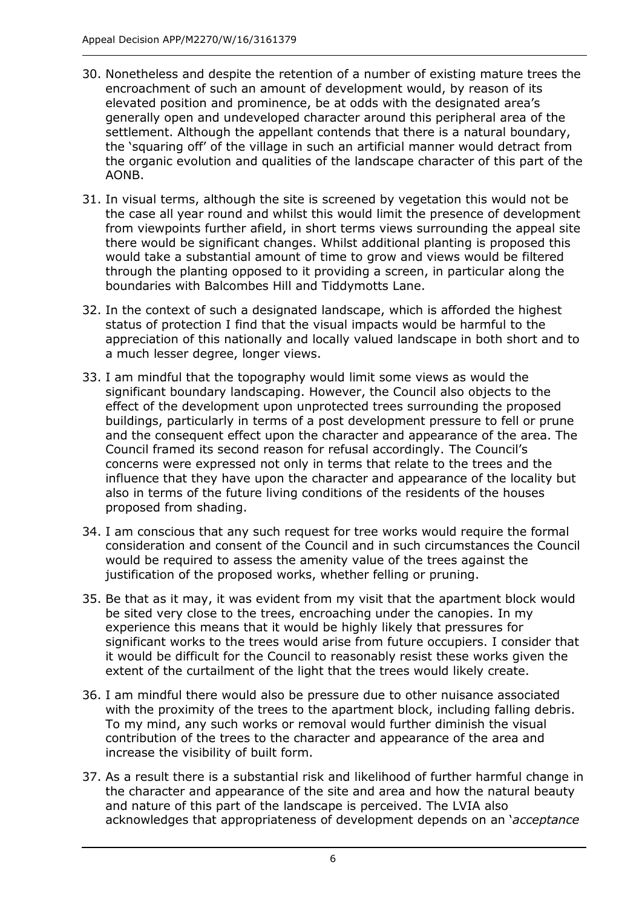- 30. Nonetheless and despite the retention of a number of existing mature trees the encroachment of such an amount of development would, by reason of its elevated position and prominence, be at odds with the designated area's generally open and undeveloped character around this peripheral area of the settlement. Although the appellant contends that there is a natural boundary, the 'squaring off' of the village in such an artificial manner would detract from the organic evolution and qualities of the landscape character of this part of the AONB.
- 31. In visual terms, although the site is screened by vegetation this would not be the case all year round and whilst this would limit the presence of development from viewpoints further afield, in short terms views surrounding the appeal site there would be significant changes. Whilst additional planting is proposed this would take a substantial amount of time to grow and views would be filtered through the planting opposed to it providing a screen, in particular along the boundaries with Balcombes Hill and Tiddymotts Lane.
- 32. In the context of such a designated landscape, which is afforded the highest status of protection I find that the visual impacts would be harmful to the appreciation of this nationally and locally valued landscape in both short and to a much lesser degree, longer views.
- 33. I am mindful that the topography would limit some views as would the significant boundary landscaping. However, the Council also objects to the effect of the development upon unprotected trees surrounding the proposed buildings, particularly in terms of a post development pressure to fell or prune and the consequent effect upon the character and appearance of the area. The Council framed its second reason for refusal accordingly. The Council's concerns were expressed not only in terms that relate to the trees and the influence that they have upon the character and appearance of the locality but also in terms of the future living conditions of the residents of the houses proposed from shading.
- 34. I am conscious that any such request for tree works would require the formal consideration and consent of the Council and in such circumstances the Council would be required to assess the amenity value of the trees against the justification of the proposed works, whether felling or pruning.
- 35. Be that as it may, it was evident from my visit that the apartment block would be sited very close to the trees, encroaching under the canopies. In my experience this means that it would be highly likely that pressures for significant works to the trees would arise from future occupiers. I consider that it would be difficult for the Council to reasonably resist these works given the extent of the curtailment of the light that the trees would likely create.
- 36. I am mindful there would also be pressure due to other nuisance associated with the proximity of the trees to the apartment block, including falling debris. To my mind, any such works or removal would further diminish the visual contribution of the trees to the character and appearance of the area and increase the visibility of built form.
- 37. As a result there is a substantial risk and likelihood of further harmful change in the character and appearance of the site and area and how the natural beauty and nature of this part of the landscape is perceived. The LVIA also acknowledges that appropriateness of development depends on an '*acceptance*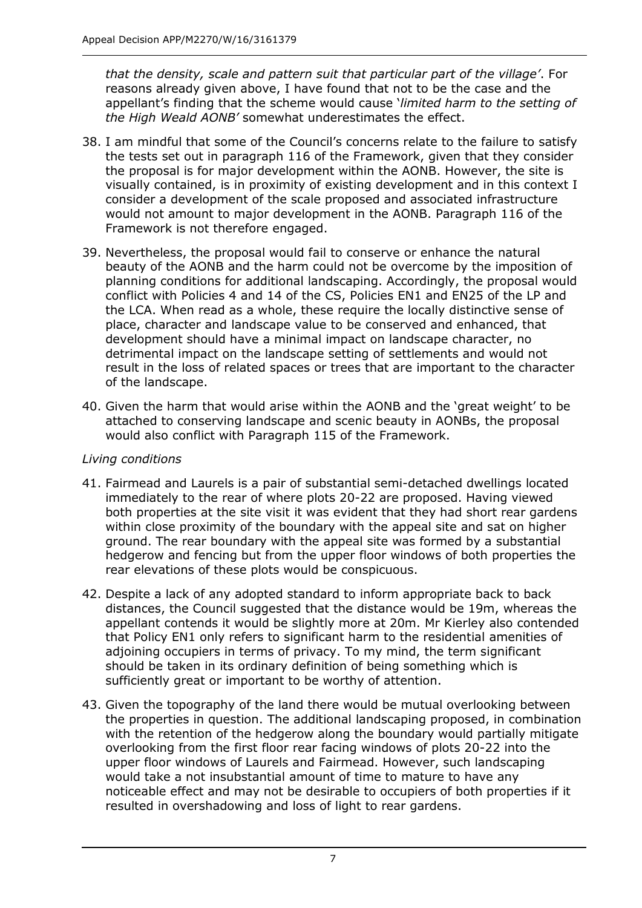*that the density, scale and pattern suit that particular part of the village'*. For reasons already given above, I have found that not to be the case and the appellant's finding that the scheme would cause '*limited harm to the setting of the High Weald AONB'* somewhat underestimates the effect.

- 38. I am mindful that some of the Council's concerns relate to the failure to satisfy the tests set out in paragraph 116 of the Framework, given that they consider the proposal is for major development within the AONB. However, the site is visually contained, is in proximity of existing development and in this context I consider a development of the scale proposed and associated infrastructure would not amount to major development in the AONB. Paragraph 116 of the Framework is not therefore engaged.
- 39. Nevertheless, the proposal would fail to conserve or enhance the natural beauty of the AONB and the harm could not be overcome by the imposition of planning conditions for additional landscaping. Accordingly, the proposal would conflict with Policies 4 and 14 of the CS, Policies EN1 and EN25 of the LP and the LCA. When read as a whole, these require the locally distinctive sense of place, character and landscape value to be conserved and enhanced, that development should have a minimal impact on landscape character, no detrimental impact on the landscape setting of settlements and would not result in the loss of related spaces or trees that are important to the character of the landscape.
- 40. Given the harm that would arise within the AONB and the 'great weight' to be attached to conserving landscape and scenic beauty in AONBs, the proposal would also conflict with Paragraph 115 of the Framework.

#### *Living conditions*

- 41. Fairmead and Laurels is a pair of substantial semi-detached dwellings located immediately to the rear of where plots 20-22 are proposed. Having viewed both properties at the site visit it was evident that they had short rear gardens within close proximity of the boundary with the appeal site and sat on higher ground. The rear boundary with the appeal site was formed by a substantial hedgerow and fencing but from the upper floor windows of both properties the rear elevations of these plots would be conspicuous.
- 42. Despite a lack of any adopted standard to inform appropriate back to back distances, the Council suggested that the distance would be 19m, whereas the appellant contends it would be slightly more at 20m. Mr Kierley also contended that Policy EN1 only refers to significant harm to the residential amenities of adjoining occupiers in terms of privacy. To my mind, the term significant should be taken in its ordinary definition of being something which is sufficiently great or important to be worthy of attention.
- 43. Given the topography of the land there would be mutual overlooking between the properties in question. The additional landscaping proposed, in combination with the retention of the hedgerow along the boundary would partially mitigate overlooking from the first floor rear facing windows of plots 20-22 into the upper floor windows of Laurels and Fairmead. However, such landscaping would take a not insubstantial amount of time to mature to have any noticeable effect and may not be desirable to occupiers of both properties if it resulted in overshadowing and loss of light to rear gardens.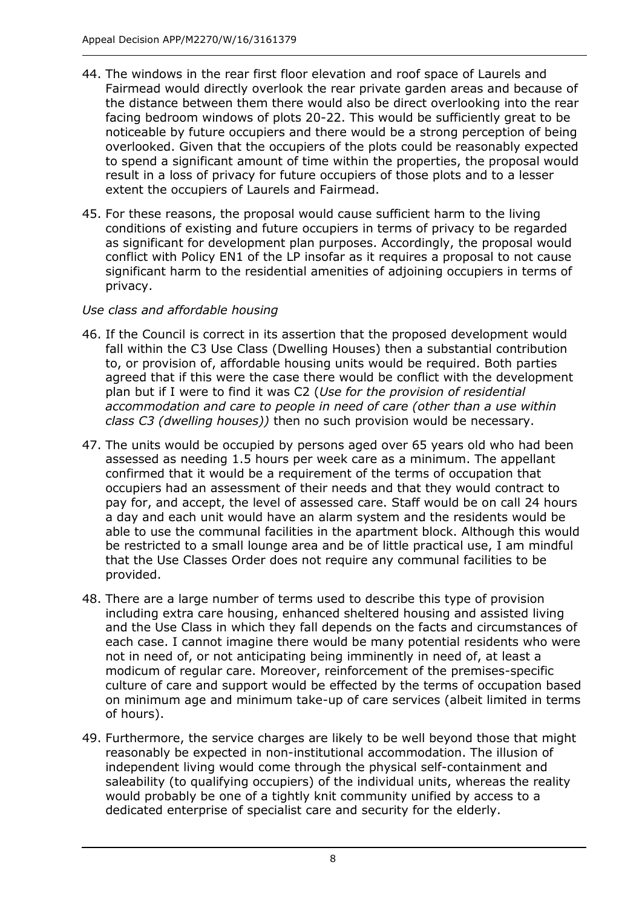- 44. The windows in the rear first floor elevation and roof space of Laurels and Fairmead would directly overlook the rear private garden areas and because of the distance between them there would also be direct overlooking into the rear facing bedroom windows of plots 20-22. This would be sufficiently great to be noticeable by future occupiers and there would be a strong perception of being overlooked. Given that the occupiers of the plots could be reasonably expected to spend a significant amount of time within the properties, the proposal would result in a loss of privacy for future occupiers of those plots and to a lesser extent the occupiers of Laurels and Fairmead.
- 45. For these reasons, the proposal would cause sufficient harm to the living conditions of existing and future occupiers in terms of privacy to be regarded as significant for development plan purposes. Accordingly, the proposal would conflict with Policy EN1 of the LP insofar as it requires a proposal to not cause significant harm to the residential amenities of adjoining occupiers in terms of privacy.

## *Use class and affordable housing*

- 46. If the Council is correct in its assertion that the proposed development would fall within the C3 Use Class (Dwelling Houses) then a substantial contribution to, or provision of, affordable housing units would be required. Both parties agreed that if this were the case there would be conflict with the development plan but if I were to find it was C2 (*Use for the provision of residential accommodation and care to people in need of care (other than a use within class C3 (dwelling houses))* then no such provision would be necessary.
- 47. The units would be occupied by persons aged over 65 years old who had been assessed as needing 1.5 hours per week care as a minimum. The appellant confirmed that it would be a requirement of the terms of occupation that occupiers had an assessment of their needs and that they would contract to pay for, and accept, the level of assessed care. Staff would be on call 24 hours a day and each unit would have an alarm system and the residents would be able to use the communal facilities in the apartment block. Although this would be restricted to a small lounge area and be of little practical use, I am mindful that the Use Classes Order does not require any communal facilities to be provided.
- 48. There are a large number of terms used to describe this type of provision including extra care housing, enhanced sheltered housing and assisted living and the Use Class in which they fall depends on the facts and circumstances of each case. I cannot imagine there would be many potential residents who were not in need of, or not anticipating being imminently in need of, at least a modicum of regular care. Moreover, reinforcement of the premises-specific culture of care and support would be effected by the terms of occupation based on minimum age and minimum take-up of care services (albeit limited in terms of hours).
- 49. Furthermore, the service charges are likely to be well beyond those that might reasonably be expected in non-institutional accommodation. The illusion of independent living would come through the physical self-containment and saleability (to qualifying occupiers) of the individual units, whereas the reality would probably be one of a tightly knit community unified by access to a dedicated enterprise of specialist care and security for the elderly.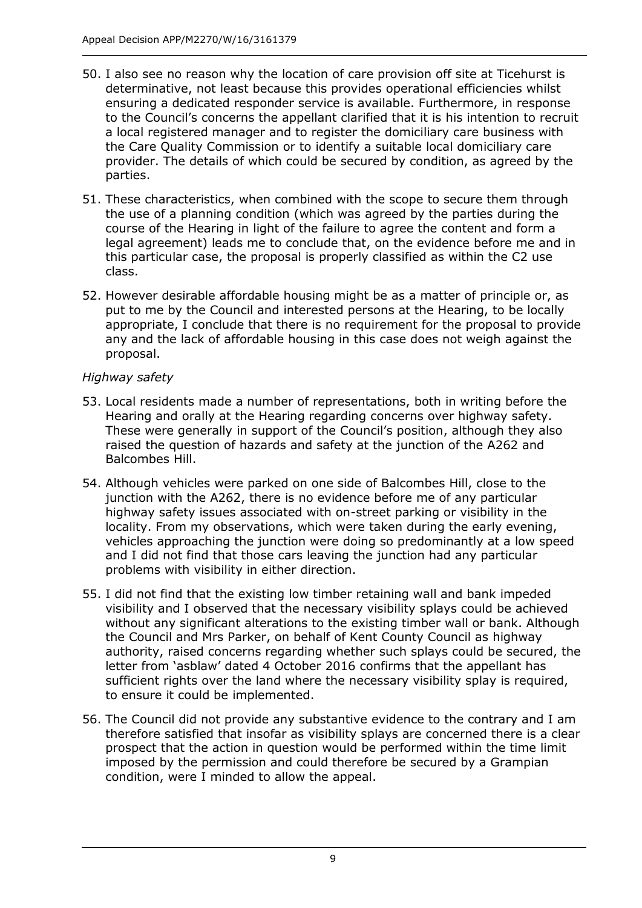- 50. I also see no reason why the location of care provision off site at Ticehurst is determinative, not least because this provides operational efficiencies whilst ensuring a dedicated responder service is available. Furthermore, in response to the Council's concerns the appellant clarified that it is his intention to recruit a local registered manager and to register the domiciliary care business with the Care Quality Commission or to identify a suitable local domiciliary care provider. The details of which could be secured by condition, as agreed by the parties.
- 51. These characteristics, when combined with the scope to secure them through the use of a planning condition (which was agreed by the parties during the course of the Hearing in light of the failure to agree the content and form a legal agreement) leads me to conclude that, on the evidence before me and in this particular case, the proposal is properly classified as within the C2 use class.
- 52. However desirable affordable housing might be as a matter of principle or, as put to me by the Council and interested persons at the Hearing, to be locally appropriate, I conclude that there is no requirement for the proposal to provide any and the lack of affordable housing in this case does not weigh against the proposal.

## *Highway safety*

- 53. Local residents made a number of representations, both in writing before the Hearing and orally at the Hearing regarding concerns over highway safety. These were generally in support of the Council's position, although they also raised the question of hazards and safety at the junction of the A262 and Balcombes Hill.
- 54. Although vehicles were parked on one side of Balcombes Hill, close to the junction with the A262, there is no evidence before me of any particular highway safety issues associated with on-street parking or visibility in the locality. From my observations, which were taken during the early evening, vehicles approaching the junction were doing so predominantly at a low speed and I did not find that those cars leaving the junction had any particular problems with visibility in either direction.
- 55. I did not find that the existing low timber retaining wall and bank impeded visibility and I observed that the necessary visibility splays could be achieved without any significant alterations to the existing timber wall or bank. Although the Council and Mrs Parker, on behalf of Kent County Council as highway authority, raised concerns regarding whether such splays could be secured, the letter from 'asblaw' dated 4 October 2016 confirms that the appellant has sufficient rights over the land where the necessary visibility splay is required, to ensure it could be implemented.
- 56. The Council did not provide any substantive evidence to the contrary and I am therefore satisfied that insofar as visibility splays are concerned there is a clear prospect that the action in question would be performed within the time limit imposed by the permission and could therefore be secured by a Grampian condition, were I minded to allow the appeal.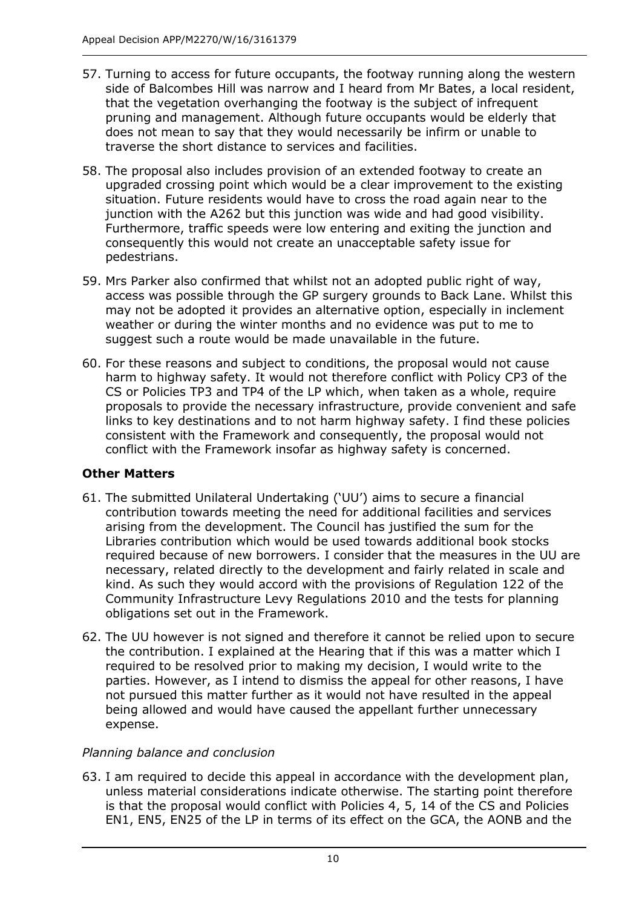- 57. Turning to access for future occupants, the footway running along the western side of Balcombes Hill was narrow and I heard from Mr Bates, a local resident, that the vegetation overhanging the footway is the subject of infrequent pruning and management. Although future occupants would be elderly that does not mean to say that they would necessarily be infirm or unable to traverse the short distance to services and facilities.
- 58. The proposal also includes provision of an extended footway to create an upgraded crossing point which would be a clear improvement to the existing situation. Future residents would have to cross the road again near to the junction with the A262 but this junction was wide and had good visibility. Furthermore, traffic speeds were low entering and exiting the junction and consequently this would not create an unacceptable safety issue for pedestrians.
- 59. Mrs Parker also confirmed that whilst not an adopted public right of way, access was possible through the GP surgery grounds to Back Lane. Whilst this may not be adopted it provides an alternative option, especially in inclement weather or during the winter months and no evidence was put to me to suggest such a route would be made unavailable in the future.
- 60. For these reasons and subject to conditions, the proposal would not cause harm to highway safety. It would not therefore conflict with Policy CP3 of the CS or Policies TP3 and TP4 of the LP which, when taken as a whole, require proposals to provide the necessary infrastructure, provide convenient and safe links to key destinations and to not harm highway safety. I find these policies consistent with the Framework and consequently, the proposal would not conflict with the Framework insofar as highway safety is concerned.

## **Other Matters**

- 61. The submitted Unilateral Undertaking ('UU') aims to secure a financial contribution towards meeting the need for additional facilities and services arising from the development. The Council has justified the sum for the Libraries contribution which would be used towards additional book stocks required because of new borrowers. I consider that the measures in the UU are necessary, related directly to the development and fairly related in scale and kind. As such they would accord with the provisions of Regulation 122 of the Community Infrastructure Levy Regulations 2010 and the tests for planning obligations set out in the Framework.
- 62. The UU however is not signed and therefore it cannot be relied upon to secure the contribution. I explained at the Hearing that if this was a matter which I required to be resolved prior to making my decision, I would write to the parties. However, as I intend to dismiss the appeal for other reasons, I have not pursued this matter further as it would not have resulted in the appeal being allowed and would have caused the appellant further unnecessary expense.

## *Planning balance and conclusion*

63. I am required to decide this appeal in accordance with the development plan, unless material considerations indicate otherwise. The starting point therefore is that the proposal would conflict with Policies 4, 5, 14 of the CS and Policies EN1, EN5, EN25 of the LP in terms of its effect on the GCA, the AONB and the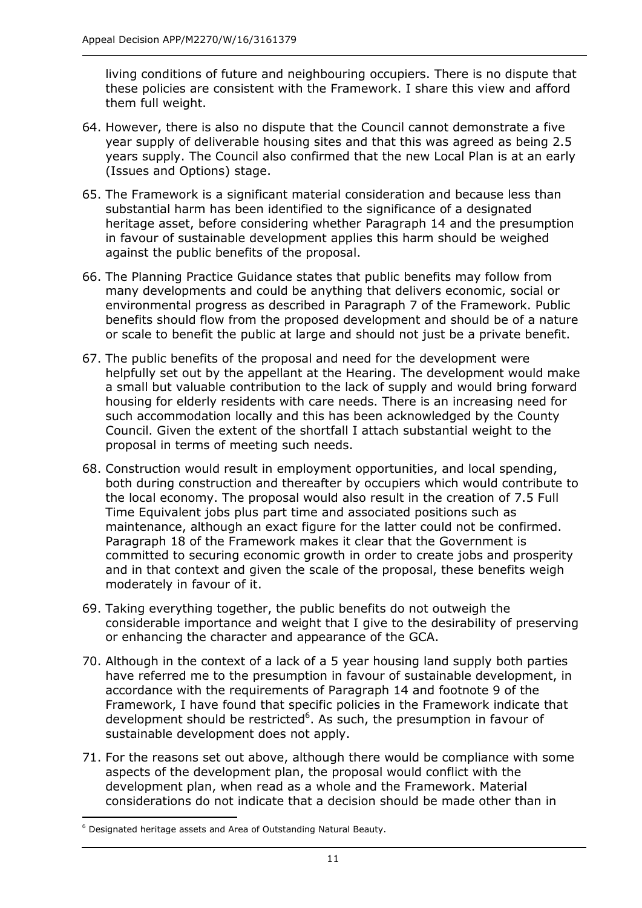living conditions of future and neighbouring occupiers. There is no dispute that these policies are consistent with the Framework. I share this view and afford them full weight.

- 64. However, there is also no dispute that the Council cannot demonstrate a five year supply of deliverable housing sites and that this was agreed as being 2.5 years supply. The Council also confirmed that the new Local Plan is at an early (Issues and Options) stage.
- 65. The Framework is a significant material consideration and because less than substantial harm has been identified to the significance of a designated heritage asset, before considering whether Paragraph 14 and the presumption in favour of sustainable development applies this harm should be weighed against the public benefits of the proposal.
- 66. The Planning Practice Guidance states that public benefits may follow from many developments and could be anything that delivers economic, social or environmental progress as described in Paragraph 7 of the Framework. Public benefits should flow from the proposed development and should be of a nature or scale to benefit the public at large and should not just be a private benefit.
- 67. The public benefits of the proposal and need for the development were helpfully set out by the appellant at the Hearing. The development would make a small but valuable contribution to the lack of supply and would bring forward housing for elderly residents with care needs. There is an increasing need for such accommodation locally and this has been acknowledged by the County Council. Given the extent of the shortfall I attach substantial weight to the proposal in terms of meeting such needs.
- 68. Construction would result in employment opportunities, and local spending, both during construction and thereafter by occupiers which would contribute to the local economy. The proposal would also result in the creation of 7.5 Full Time Equivalent jobs plus part time and associated positions such as maintenance, although an exact figure for the latter could not be confirmed. Paragraph 18 of the Framework makes it clear that the Government is committed to securing economic growth in order to create jobs and prosperity and in that context and given the scale of the proposal, these benefits weigh moderately in favour of it.
- 69. Taking everything together, the public benefits do not outweigh the considerable importance and weight that I give to the desirability of preserving or enhancing the character and appearance of the GCA.
- 70. Although in the context of a lack of a 5 year housing land supply both parties have referred me to the presumption in favour of sustainable development, in accordance with the requirements of Paragraph 14 and footnote 9 of the Framework, I have found that specific policies in the Framework indicate that development should be restricted<sup>6</sup>. As such, the presumption in favour of sustainable development does not apply.
- 71. For the reasons set out above, although there would be compliance with some aspects of the development plan, the proposal would conflict with the development plan, when read as a whole and the Framework. Material considerations do not indicate that a decision should be made other than in

-

<sup>&</sup>lt;sup>6</sup> Designated heritage assets and Area of Outstanding Natural Beauty.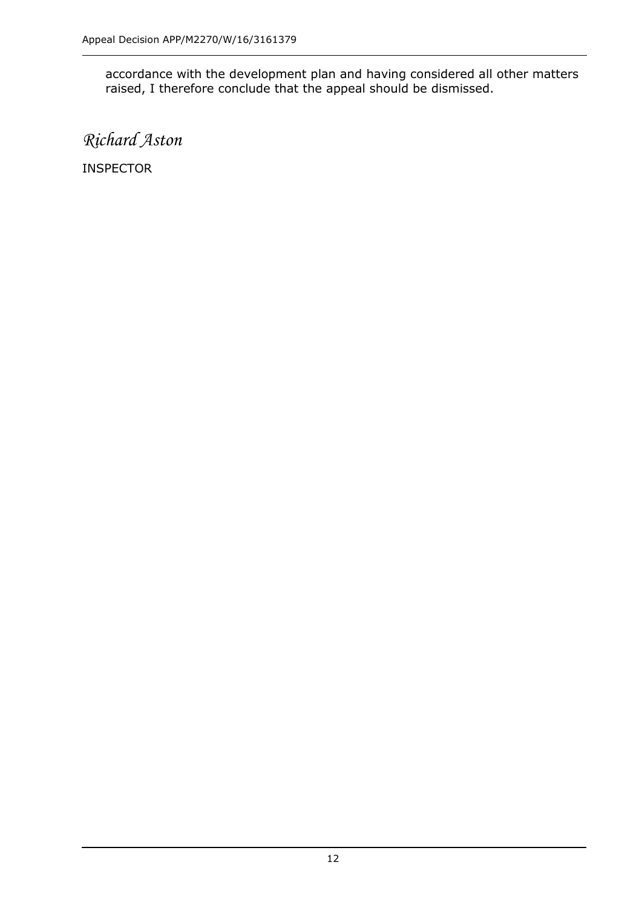accordance with the development plan and having considered all other matters raised, I therefore conclude that the appeal should be dismissed.

*Richard Aston*

INSPECTOR